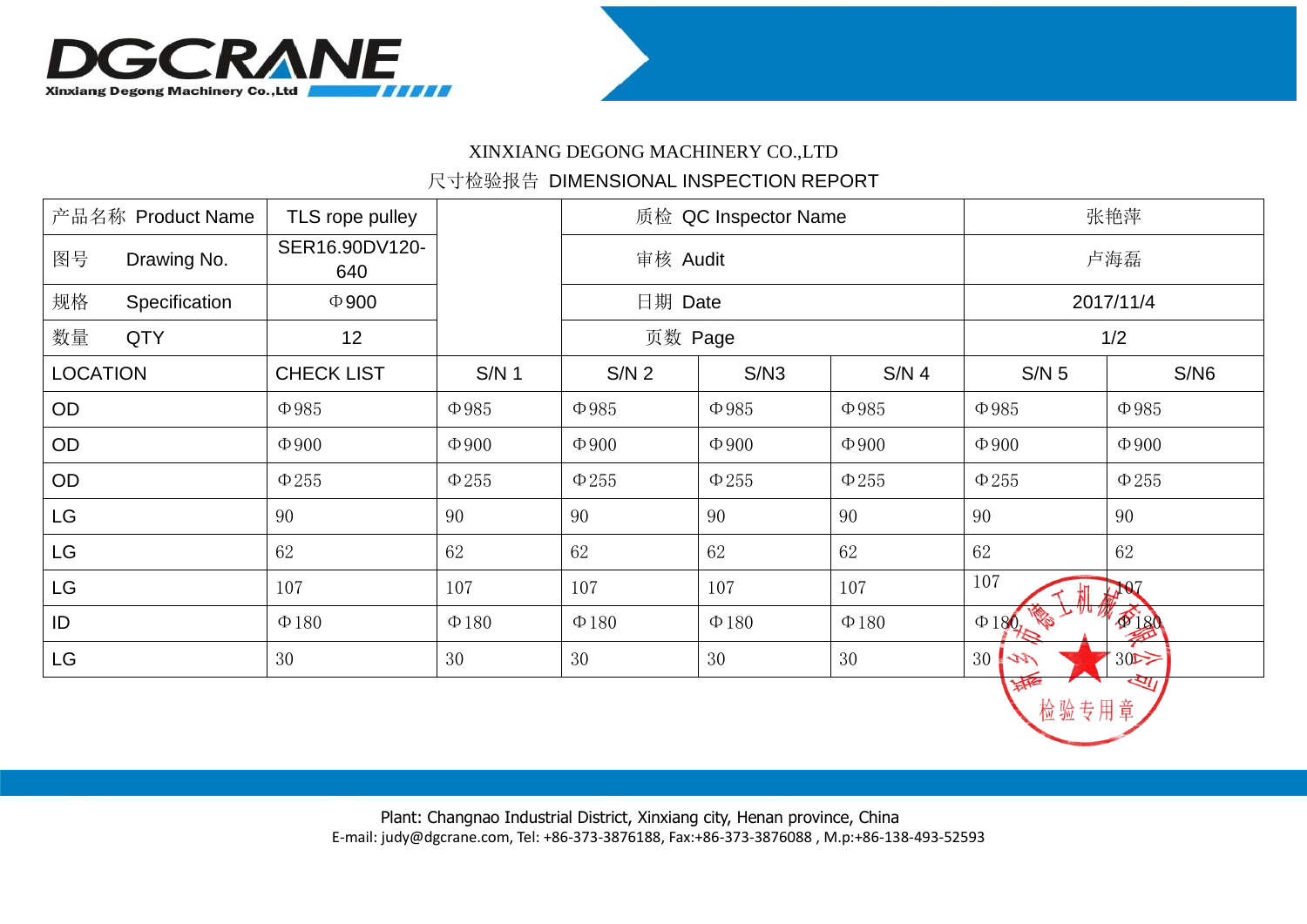

## XINXIANG DEGONG MACHINERY CO.,LTD

## 尺寸检验报告 DIMENSIONAL INSPECTION REPORT

| 产品名称 Product Name |               | TLS rope pulley       |            | 质检 QC Inspector Name |            |                  | 张艳萍               |            |
|-------------------|---------------|-----------------------|------------|----------------------|------------|------------------|-------------------|------------|
| 图号                | Drawing No.   | SER16.90DV120-<br>640 |            | 审核 Audit             |            |                  | 卢海磊               |            |
| 规格                | Specification | $\Phi$ 900            |            | 日期 Date              |            |                  | 2017/11/4         |            |
| 数量                | <b>QTY</b>    | 12                    |            | 页数 Page              |            |                  | 1/2               |            |
| <b>LOCATION</b>   |               | <b>CHECK LIST</b>     | $S/N$ 1    | S/N <sub>2</sub>     | S/N3       | S/N <sub>4</sub> | $S/N$ 5           | S/N6       |
| OD                |               | $\Phi$ 985            | $\Phi$ 985 | $\Phi$ 985           | $\Phi$ 985 | $\Phi$ 985       | $\Phi$ 985        | $\Phi$ 985 |
| OD                |               | $\Phi$ 900            | $\Phi$ 900 | $\Phi$ 900           | $\Phi$ 900 | $\Phi$ 900       | $\Phi$ 900        | $\Phi$ 900 |
| OD                |               | $\Phi$ 255            | $\Phi$ 255 | $\Phi$ 255           | $\Phi$ 255 | $\Phi$ 255       | $\Phi 255$        | $\Phi 255$ |
| <b>LG</b>         |               | 90                    | 90         | 90                   | 90         | 90               | 90                | 90         |
| <b>LG</b>         |               | 62                    | 62         | 62                   | 62         | 62               | 62                | 62         |
| <b>LG</b>         |               | 107                   | 107        | 107                  | 107        | 107              | 107               | $\sqrt{2}$ |
| ID                |               | $\Phi$ 180            | $\Phi$ 180 | $\Phi$ 180           | $\Phi$ 180 | $\Phi$ 180       | k.<br>$\Phi$ 180. | \$180      |
| <b>LG</b>         |               | 30                    | 30         | 30                   | 30         | 30               | 30<br>ベル          | 30         |
|                   |               |                       |            |                      |            |                  | 海<br>检验专用章        | खा         |